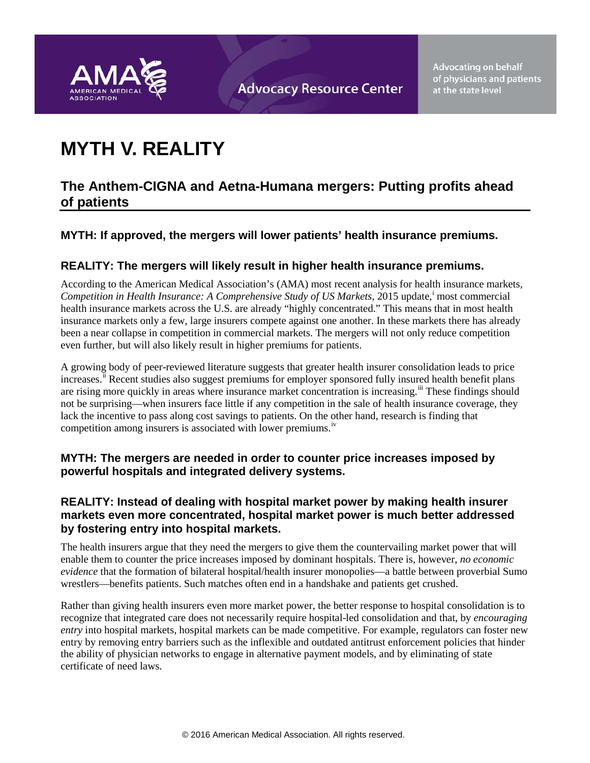

**Advocating on behalf** of physicians and patients at the state level

# **MYTH V. REALITY**

## **The Anthem-CIGNA and Aetna-Humana mergers: Putting profits ahead of patients**

### **MYTH: If approved, the mergers will lower patients' health insurance premiums.**

#### **REALITY: The mergers will likely result in higher health insurance premiums.**

According to the American Medical Association's (AMA) most recent analysis for health insurance markets, Compet[i](#page-5-0)tion in Health Insurance: A Comprehensive Study of US Markets, 2015 update,<sup>i</sup> most commercial health insurance markets across the U.S. are already "highly concentrated." This means that in most health insurance markets only a few, large insurers compete against one another. In these markets there has already been a near collapse in competition in commercial markets. The mergers will not only reduce competition even further, but will also likely result in higher premiums for patients.

A growing body of peer-reviewed literature suggests that greater health insurer consolidation leads to price increases.<sup>[ii](#page-5-1)</sup> Recent studies also suggest premiums for employer sponsored fully insured health benefit plans are rising more quickly in areas where insurance market concentration is increasing.<sup>[iii](#page-5-2)</sup> These findings should not be surprising—when insurers face little if any competition in the sale of health insurance coverage, they lack the incentive to pass along cost savings to patients. On the other hand, research is finding that competition among insurers is associated with lower premiums.<sup>[iv](#page-5-3)</sup>

#### **MYTH: The mergers are needed in order to counter price increases imposed by powerful hospitals and integrated delivery systems.**

#### **REALITY: Instead of dealing with hospital market power by making health insurer markets even more concentrated, hospital market power is much better addressed by fostering entry into hospital markets.**

The health insurers argue that they need the mergers to give them the countervailing market power that will enable them to counter the price increases imposed by dominant hospitals. There is, however, *no economic evidence* that the formation of bilateral hospital/health insurer monopolies—a battle between proverbial Sumo wrestlers—benefits patients. Such matches often end in a handshake and patients get crushed.

Rather than giving health insurers even more market power, the better response to hospital consolidation is to recognize that integrated care does not necessarily require hospital-led consolidation and that, by *encouraging entry* into hospital markets, hospital markets can be made competitive. For example, regulators can foster new entry by removing entry barriers such as the inflexible and outdated antitrust enforcement policies that hinder the ability of physician networks to engage in alternative payment models, and by eliminating of state certificate of need laws.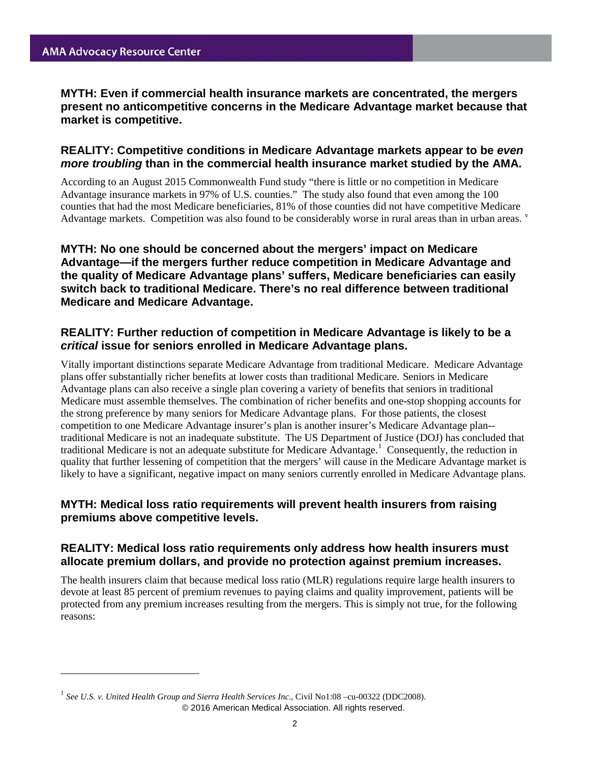$\ddot{\phantom{a}}$ 

**MYTH: Even if commercial health insurance markets are concentrated, the mergers present no anticompetitive concerns in the Medicare Advantage market because that market is competitive.**

#### **REALITY: Competitive conditions in Medicare Advantage markets appear to be** *even more troubling* **than in the commercial health insurance market studied by the AMA.**

According to an August 2015 Commonwealth Fund study "there is little or no competition in Medicare Advantage insurance markets in 97% of U.S. counties." The study also found that even among the 100 counties that had the most Medicare beneficiaries, 81% of those counties did not have competitive Medicare Ad[v](#page-5-4)antage markets. Competition was also found to be considerably worse in rural areas than in urban areas. <sup>v</sup>

#### **MYTH: No one should be concerned about the mergers' impact on Medicare Advantage—if the mergers further reduce competition in Medicare Advantage and the quality of Medicare Advantage plans' suffers, Medicare beneficiaries can easily switch back to traditional Medicare. There's no real difference between traditional Medicare and Medicare Advantage.**

#### **REALITY: Further reduction of competition in Medicare Advantage is likely to be a**  *critical* **issue for seniors enrolled in Medicare Advantage plans.**

Vitally important distinctions separate Medicare Advantage from traditional Medicare. Medicare Advantage plans offer substantially richer benefits at lower costs than traditional Medicare. Seniors in Medicare Advantage plans can also receive a single plan covering a variety of benefits that seniors in traditional Medicare must assemble themselves. The combination of richer benefits and one-stop shopping accounts for the strong preference by many seniors for Medicare Advantage plans. For those patients, the closest competition to one Medicare Advantage insurer's plan is another insurer's Medicare Advantage plan- traditional Medicare is not an inadequate substitute. The US Department of Justice (DOJ) has concluded that traditional Medicare is not an adequate substitute for Medicare Advantage.<sup>[1](#page-1-0)</sup> Consequently, the reduction in quality that further lessening of competition that the mergers' will cause in the Medicare Advantage market is likely to have a significant, negative impact on many seniors currently enrolled in Medicare Advantage plans.

#### **MYTH: Medical loss ratio requirements will prevent health insurers from raising premiums above competitive levels.**

#### **REALITY: Medical loss ratio requirements only address how health insurers must allocate premium dollars, and provide no protection against premium increases.**

The health insurers claim that because medical loss ratio (MLR) regulations require large health insurers to devote at least 85 percent of premium revenues to paying claims and quality improvement, patients will be protected from any premium increases resulting from the mergers. This is simply not true, for the following reasons:

<span id="page-1-0"></span><sup>1</sup> *See U.S. v. United Health Group and Sierra Health Services Inc*., Civil No1:08 –cu-00322 (DDC2008). © 2016 American Medical Association. All rights reserved.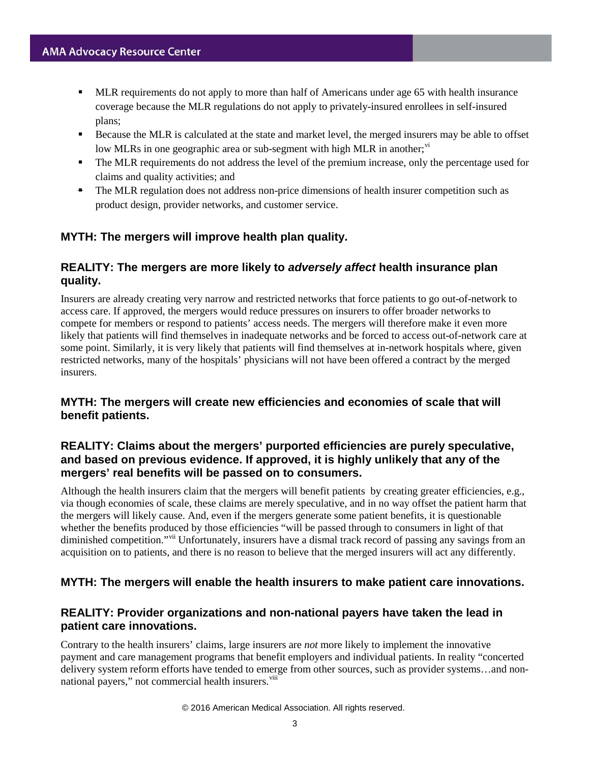- **MLR requirements do not apply to more than half of Americans under age 65 with health insurance** coverage because the MLR regulations do not apply to privately-insured enrollees in self-insured plans;
- **Because the MLR** is calculated at the state and market level, the merged insurers may be able to offset low MLRs in one geographic area or sub-segment with high MLR in another; $\dot{v}$
- The MLR requirements do not address the level of the premium increase, only the percentage used for claims and quality activities; and
- The MLR regulation does not address non-price dimensions of health insurer competition such as product design, provider networks, and customer service.

### **MYTH: The mergers will improve health plan quality.**

### **REALITY: The mergers are more likely to** *adversely affect* **health insurance plan quality.**

Insurers are already creating very narrow and restricted networks that force patients to go out-of-network to access care. If approved, the mergers would reduce pressures on insurers to offer broader networks to compete for members or respond to patients' access needs. The mergers will therefore make it even more likely that patients will find themselves in inadequate networks and be forced to access out-of-network care at some point. Similarly, it is very likely that patients will find themselves at in-network hospitals where, given restricted networks, many of the hospitals' physicians will not have been offered a contract by the merged insurers.

#### **MYTH: The mergers will create new efficiencies and economies of scale that will benefit patients.**

#### **REALITY: Claims about the mergers' purported efficiencies are purely speculative, and based on previous evidence. If approved, it is highly unlikely that any of the mergers' real benefits will be passed on to consumers.**

Although the health insurers claim that the mergers will benefit patients by creating greater efficiencies, e.g., via though economies of scale, these claims are merely speculative, and in no way offset the patient harm that the mergers will likely cause. And, even if the mergers generate some patient benefits, it is questionable whether the benefits produced by those efficiencies "will be passed through to consumers in light of that diminished competition."<sup>[vii](#page-5-6)</sup> Unfortunately, insurers have a dismal track record of passing any savings from an acquisition on to patients, and there is no reason to believe that the merged insurers will act any differently.

#### **MYTH: The mergers will enable the health insurers to make patient care innovations.**

#### **REALITY: Provider organizations and non-national payers have taken the lead in patient care innovations.**

Contrary to the health insurers' claims, large insurers are *not* more likely to implement the innovative payment and care management programs that benefit employers and individual patients. In reality "concerted delivery system reform efforts have tended to emerge from other sources, such as provider systems…and nonnational payers," not commercial health insurers.<sup>[viii](#page-5-7)</sup>

#### © 2016 American Medical Association. All rights reserved.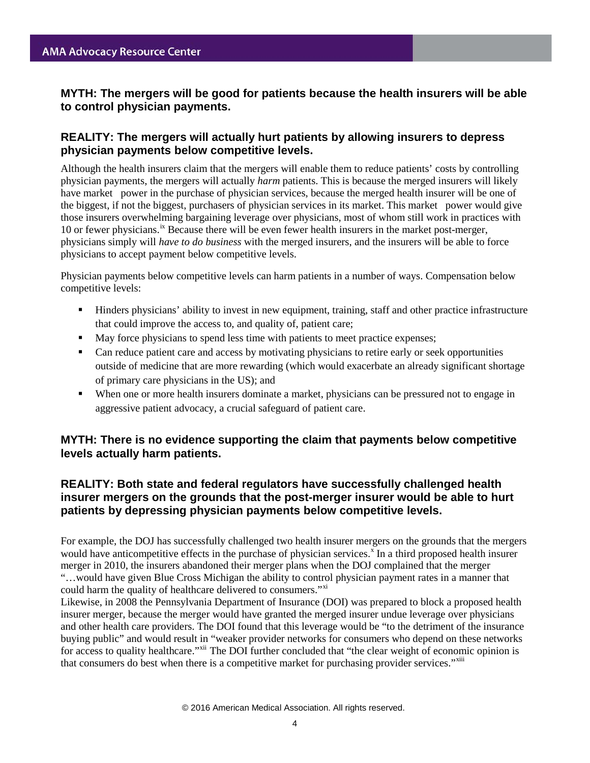#### **MYTH: The mergers will be good for patients because the health insurers will be able to control physician payments.**

#### **REALITY: The mergers will actually hurt patients by allowing insurers to depress physician payments below competitive levels.**

Although the health insurers claim that the mergers will enable them to reduce patients' costs by controlling physician payments, the mergers will actually *harm* patients. This is because the merged insurers will likely have market power in the purchase of physician services, because the merged health insurer will be one of the biggest, if not the biggest, purchasers of physician services in its market. This market power would give those insurers overwhelming bargaining leverage over physicians, most of whom still work in practices with 10 or fewer physicians.<sup>[ix](#page-5-8)</sup> Because there will be even fewer health insurers in the market post-merger, physicians simply will *have to do business* with the merged insurers, and the insurers will be able to force physicians to accept payment below competitive levels.

Physician payments below competitive levels can harm patients in a number of ways. Compensation below competitive levels:

- Hinders physicians' ability to invest in new equipment, training, staff and other practice infrastructure that could improve the access to, and quality of, patient care;
- May force physicians to spend less time with patients to meet practice expenses;
- Can reduce patient care and access by motivating physicians to retire early or seek opportunities outside of medicine that are more rewarding (which would exacerbate an already significant shortage of primary care physicians in the US); and
- When one or more health insurers dominate a market, physicians can be pressured not to engage in aggressive patient advocacy, a crucial safeguard of patient care.

#### **MYTH: There is no evidence supporting the claim that payments below competitive levels actually harm patients.**

#### **REALITY: Both state and federal regulators have successfully challenged health insurer mergers on the grounds that the post-merger insurer would be able to hurt patients by depressing physician payments below competitive levels.**

For example, the DOJ has successfully challenged two health insurer mergers on the grounds that the mergers would have anticompetitive effects in the purchase of physician services.<sup>[x](#page-5-9)</sup> In a third proposed health insurer merger in 2010, the insurers abandoned their merger plans when the DOJ complained that the merger "…would have given Blue Cross Michigan the ability to control physician payment rates in a manner that could harm the quality of healthcare delivered to consumers."<sup>[xi](#page-5-10)</sup>

Likewise, in 2008 the Pennsylvania Department of Insurance (DOI) was prepared to block a proposed health insurer merger, because the merger would have granted the merged insurer undue leverage over physicians and other health care providers. The DOI found that this leverage would be "to the detriment of the insurance buying public" and would result in "weaker provider networks for consumers who depend on these networks for access to quality healthcare."<sup>[xii](#page-5-11)</sup> The DOI further concluded that "the clear weight of economic opinion is that consumers do best when there is a competitive market for purchasing provider services."<sup>[xiii](#page-5-12)</sup>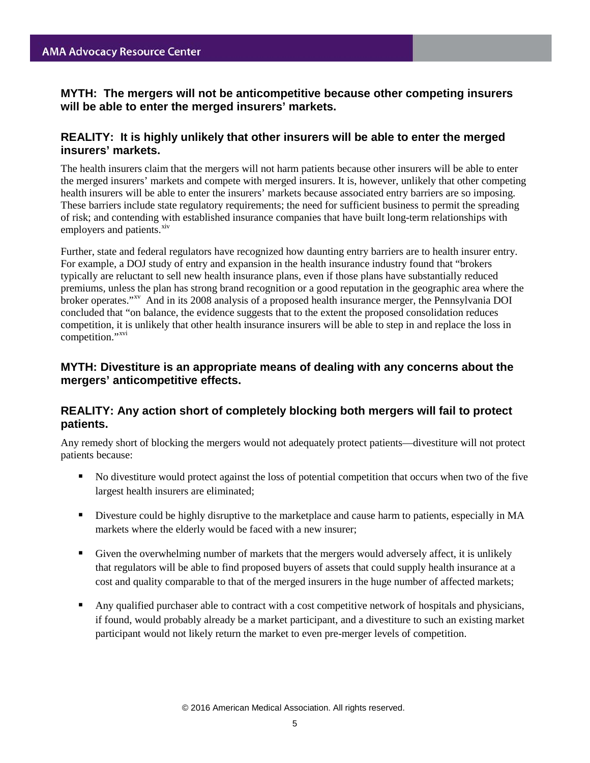**MYTH: The mergers will not be anticompetitive because other competing insurers will be able to enter the merged insurers' markets.**

#### **REALITY: It is highly unlikely that other insurers will be able to enter the merged insurers' markets.**

The health insurers claim that the mergers will not harm patients because other insurers will be able to enter the merged insurers' markets and compete with merged insurers. It is, however, unlikely that other competing health insurers will be able to enter the insurers' markets because associated entry barriers are so imposing. These barriers include state regulatory requirements; the need for sufficient business to permit the spreading of risk; and contending with established insurance companies that have built long-term relationships with employers and patients.<sup>[xiv](#page-5-13)</sup>

Further, state and federal regulators have recognized how daunting entry barriers are to health insurer entry. For example, a DOJ study of entry and expansion in the health insurance industry found that "brokers typically are reluctant to sell new health insurance plans, even if those plans have substantially reduced premiums, unless the plan has strong brand recognition or a good reputation in the geographic area where the broker operates."[xv](#page-5-14) And in its 2008 analysis of a proposed health insurance merger, the Pennsylvania DOI concluded that "on balance, the evidence suggests that to the extent the proposed consolidation reduces competition, it is unlikely that other health insurance insurers will be able to step in and replace the loss in competition."<sup>[xvi](#page-5-15)</sup>

#### **MYTH: Divestiture is an appropriate means of dealing with any concerns about the mergers' anticompetitive effects.**

#### **REALITY: Any action short of completely blocking both mergers will fail to protect patients.**

Any remedy short of blocking the mergers would not adequately protect patients—divestiture will not protect patients because:

- No divestiture would protect against the loss of potential competition that occurs when two of the five largest health insurers are eliminated;
- Divesture could be highly disruptive to the marketplace and cause harm to patients, especially in MA markets where the elderly would be faced with a new insurer;
- Given the overwhelming number of markets that the mergers would adversely affect, it is unlikely that regulators will be able to find proposed buyers of assets that could supply health insurance at a cost and quality comparable to that of the merged insurers in the huge number of affected markets;
- Any qualified purchaser able to contract with a cost competitive network of hospitals and physicians, if found, would probably already be a market participant, and a divestiture to such an existing market participant would not likely return the market to even pre-merger levels of competition.